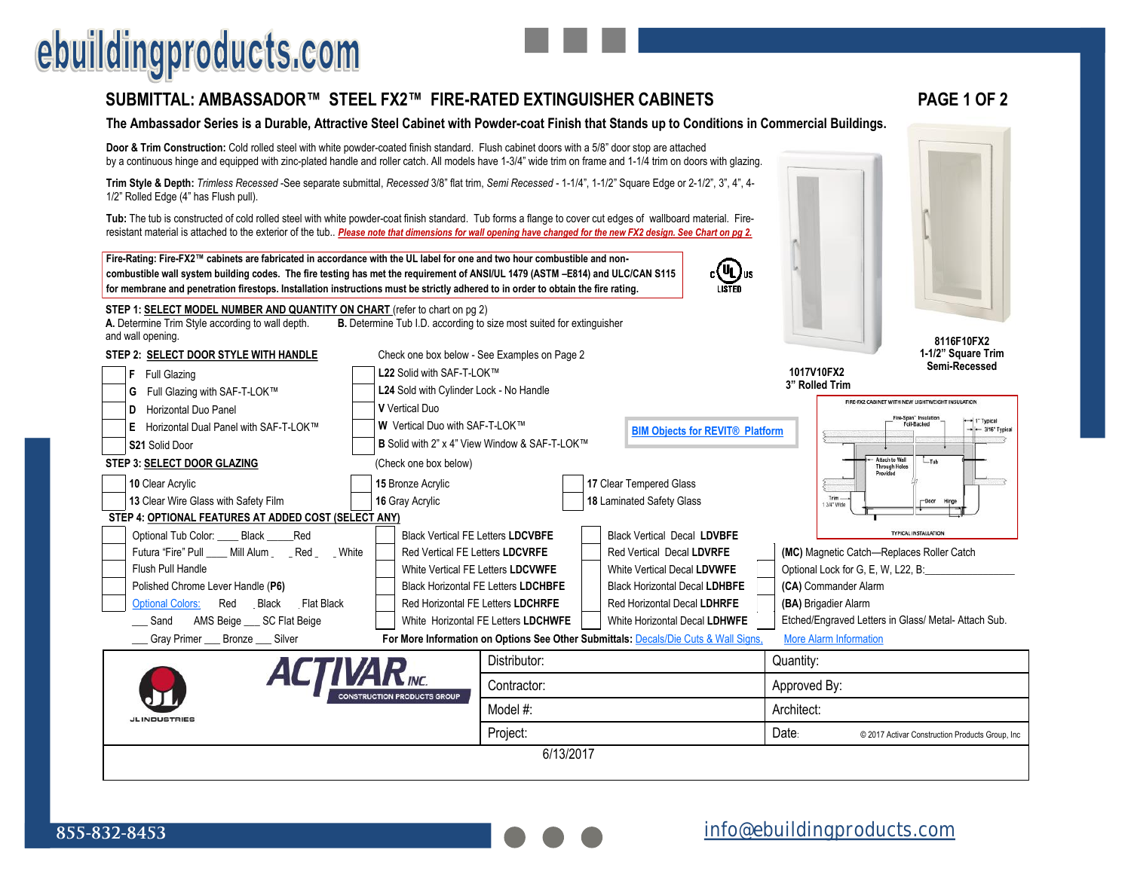## ebuildingproducts.com

#### **[SUBMITTAL: AMBASSADOR™ STEEL FX2™ FIRE](https://www.ebuildingproducts.com/product/Ambassador_Steel_Fire_Rated_Fire_Extinguisher_Cabinet)-RATED EXTINGUISHER CABINETS PAGE 1 OF 2**

#### **The Ambassador Series is a Durable, Attractive Steel Cabinet with Powder-coat Finish that Stands up to Conditions in Commercial Buildings.**

**Door & Trim Construction:** Cold rolled steel with white powder-coated finish standard. Flush cabinet doors with a 5/8" door stop are attached by a continuous hinge and equipped with zinc-plated handle and roller catch. All models have 1-3/4" wide trim on frame and 1-1/4 trim on doors with glazing.

**Trim Style & Depth:** *Trimless Recessed* -See separate submittal, *Recessed* 3/8" flat trim, *Semi Recessed* - 1-1/4", 1-1/2" Square Edge or 2-1/2", 3", 4", 4- 1/2" Rolled Edge (4" has Flush pull).

**Tub:** The tub is constructed of cold rolled steel with white powder-coat finish standard. Tub forms a flange to cover cut edges of wallboard material. Fireresistant material is attached to the exterior of the tub.. Please note that dimensions for wall opening have changed for the new FX2 design. See Chart on pg 2.

**Fire-Rating: Fire-FX2™ cabinets are fabricated in accordance with the UL label for one and two hour combustible and noncombustible wall system building codes. The fire testing has met the requirement of ANSI/UL 1479 (ASTM –E814) and ULC/CAN S115 for membrane and penetration firestops. Installation instructions must be strictly adhered to in order to obtain the fire rating.**

**STEP 1: SELECT MODEL NUMBER AND QUANTITY ON CHART** (refer to chart on pg 2)

**STEP 3: SELECT DOOR GLAZING** (Check one box below)

| A. Determine Trim Style according to wall depth.<br>and wall opening. | <b>B.</b> Determine Tub I.D. according to size most suited for extinguisher     |
|-----------------------------------------------------------------------|---------------------------------------------------------------------------------|
| STEP 2: SELECT DOOR STYLE WITH HANDLE                                 | Check one box below - See Examples on Page 2                                    |
| Full Glazing<br>Ł                                                     | L22 Solid with SAF-T-LOK™                                                       |
| G Full Glazing with SAF-T-LOK™                                        | L24 Sold with Cylinder Lock - No Handle                                         |
| Horizontal Duo Panel<br>Ð                                             | <b>V</b> Vertical Duo                                                           |
| E Horizontal Dual Panel with SAF-T-LOK™                               | <b>W</b> Vertical Duo with SAF-T-LOK™<br><b>BIM Objects for REVIT® Platform</b> |
| <b>S21 Solid Door</b>                                                 | <b>B</b> Solid with 2" x 4" View Window & SAF-T-LOK™                            |

**10** Clear Acrylic **15** Bronze Acrylic **17** Clear Tempered Glass **13** Clear Wire Glass with Safety Film **16** Gray Acrylic **18** Laminated Safety Glass



**8116F10FX2 1-1/2" Square Trim Semi-Recessed**

**1017V10FX2 3" Rolled Trim** 

 $_{c}$ (UL)

Fire-Span" Insulat + 1" Typical Foil-Racked  $-$  3/16" Typica Attach to Wal  $-Tub$ **Through Holes** 

FIRE-FX2 CABINET WITH NEW LIGHTWEIGHT INSULATION

#### **STEP 4: OPTIONAL FEATURES AT ADDED COST (SELECT ANY)**

| Optional Tub Color: Black Red             | <b>Black Vertical FE Letters LDCVBFE</b>                                            | <b>Black Vertical Decal LDVBFE</b>   |  | <b>TYPICAL INSTALLATION</b>                          |
|-------------------------------------------|-------------------------------------------------------------------------------------|--------------------------------------|--|------------------------------------------------------|
| Futura "Fire" Pull Mill Alum Red<br>White | Red Vertical FE Letters LDCVRFE                                                     | Red Vertical Decal LDVRFE            |  | (MC) Magnetic Catch-Replaces Roller Catch            |
| Flush Pull Handle                         | White Vertical FE Letters LDCVWFE                                                   | White Vertical Decal LDVWFE          |  | Optional Lock for G, E, W, L22, B:                   |
| Polished Chrome Lever Handle (P6)         | <b>Black Horizontal FE Letters LDCHBFE</b>                                          | <b>Black Horizontal Decal LDHBFE</b> |  | (CA) Commander Alarm                                 |
| Optional Colors: Red Black Flat Black     | Red Horizontal FE Letters LDCHRFE                                                   | Red Horizontal Decal LDHRFE          |  | (BA) Brigadier Alarm                                 |
| AMS Beige SC Flat Beige<br>_ Sand         | White Horizontal FE Letters LDCHWFE                                                 | White Horizontal Decal LDHWFE        |  | Etched/Engraved Letters in Glass/ Metal- Attach Sub. |
| Gray Primer Bronze<br>Silver              | For More Information on Options See Other Submittals: Decals/Die Cuts & Wall Signs. | More Alarm Information               |  |                                                      |

|                     | <b>ACTIVAR</b> <sub>MC</sub>       | Distributor: | Quantity:    |                                                 |
|---------------------|------------------------------------|--------------|--------------|-------------------------------------------------|
|                     | <b>CONSTRUCTION PRODUCTS GROUP</b> | Contractor:  | Approved By: |                                                 |
| <b>JLINDUSTRIES</b> |                                    | Model #:     | Architect:   |                                                 |
|                     |                                    | Project:     | Date:        | © 2017 Activar Construction Products Group, Inc |
|                     |                                    | 6/13/2017    |              |                                                 |